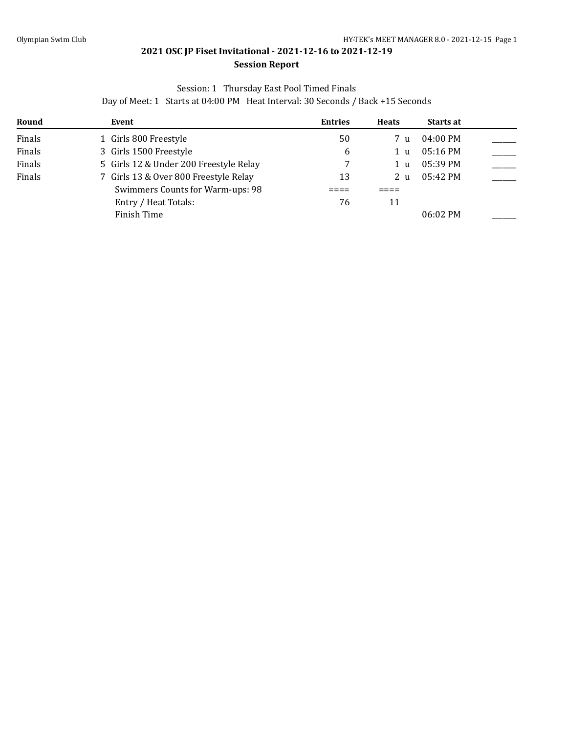#### **Session Report**

### Session: 1 Thursday East Pool Timed Finals

| Round  | Event                                  | <b>Entries</b> | <b>Heats</b>    | <b>Starts at</b> |  |
|--------|----------------------------------------|----------------|-----------------|------------------|--|
| Finals | 1 Girls 800 Freestyle                  | 50             | 7 <sub>11</sub> | 04:00 PM         |  |
| Finals | 3 Girls 1500 Freestyle                 | 6              | 1 u             | $05:16$ PM       |  |
| Finals | 5 Girls 12 & Under 200 Freestyle Relay |                | 1 u             | $05:39$ PM       |  |
| Finals | 7 Girls 13 & Over 800 Freestyle Relay  | 13             | 2 <sub>u</sub>  | 05:42 PM         |  |
|        | Swimmers Counts for Warm-ups: 98       |                |                 |                  |  |
|        | Entry / Heat Totals:                   | 76             | 11              |                  |  |
|        | Finish Time                            |                |                 | $06:02 \, PM$    |  |

#### Day of Meet: 1 Starts at 04:00 PM Heat Interval: 30 Seconds / Back +15 Seconds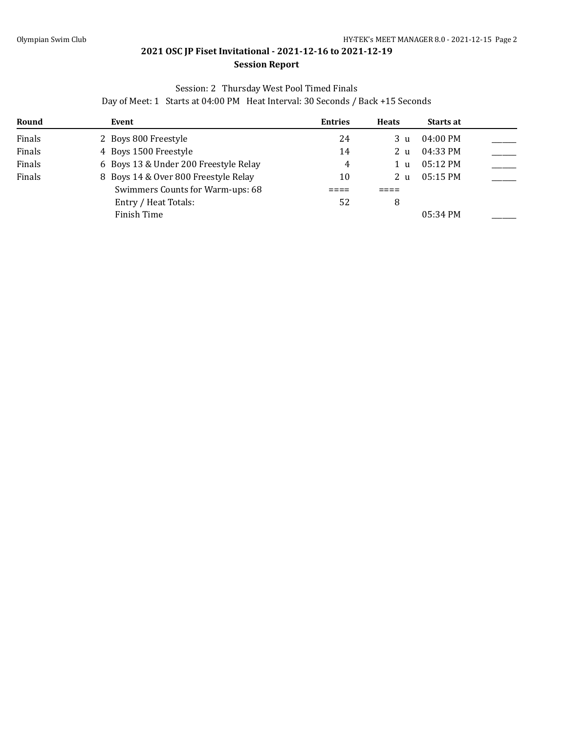#### **Session Report**

#### Session: 2 Thursday West Pool Timed Finals

| Round  | Event                                 | <b>Entries</b> | <b>Heats</b>   | <b>Starts at</b>   |  |
|--------|---------------------------------------|----------------|----------------|--------------------|--|
| Finals | 2 Boys 800 Freestyle                  | 24             | 3 u            | 04:00 PM           |  |
| Finals | 4 Boys 1500 Freestyle                 | 14             | 2 <sub>u</sub> | 04:33 PM           |  |
| Finals | 6 Boys 13 & Under 200 Freestyle Relay | 4              | 1 u            | $05:12 \text{ PM}$ |  |
| Finals | 8 Boys 14 & Over 800 Freestyle Relay  | 10             | 2 <sub>u</sub> | $05:15$ PM         |  |
|        | Swimmers Counts for Warm-ups: 68      |                |                |                    |  |
|        | Entry / Heat Totals:                  | 52             | 8              |                    |  |
|        | Finish Time                           |                |                | 05:34 PM           |  |

#### Day of Meet: 1 Starts at 04:00 PM Heat Interval: 30 Seconds / Back +15 Seconds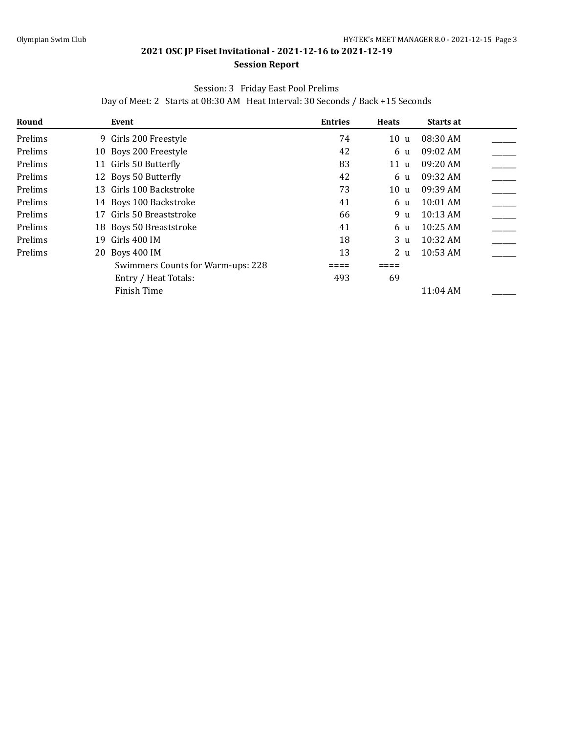#### **Session Report**

#### Session: 3 Friday East Pool Prelims

Day of Meet: 2 Starts at 08:30 AM Heat Interval: 30 Seconds / Back +15 Seconds

| Round   | Event                             | <b>Entries</b> | <b>Heats</b>   | Starts at  |  |
|---------|-----------------------------------|----------------|----------------|------------|--|
| Prelims | 9 Girls 200 Freestyle             | 74             | 10u            | 08:30 AM   |  |
| Prelims | 10 Boys 200 Freestyle             | 42             | 6 u            | 09:02 AM   |  |
| Prelims | 11 Girls 50 Butterfly             | 83             | 11u            | 09:20 AM   |  |
| Prelims | 12 Boys 50 Butterfly              | 42             | 6 u            | 09:32 AM   |  |
| Prelims | 13 Girls 100 Backstroke           | 73             | 10u            | 09:39 AM   |  |
| Prelims | 14 Boys 100 Backstroke            | 41             | 6 u            | 10:01 AM   |  |
| Prelims | 17 Girls 50 Breaststroke          | 66             | 9 u            | 10:13 AM   |  |
| Prelims | 18 Boys 50 Breaststroke           | 41             | 6 u            | 10:25 AM   |  |
| Prelims | Girls 400 IM<br>19.               | 18             | 3 <sub>u</sub> | 10:32 AM   |  |
| Prelims | 20 Boys 400 IM                    | 13             | 2 <sub>u</sub> | 10:53 AM   |  |
|         | Swimmers Counts for Warm-ups: 228 |                |                |            |  |
|         | Entry / Heat Totals:              | 493            | 69             |            |  |
|         | Finish Time                       |                |                | $11:04$ AM |  |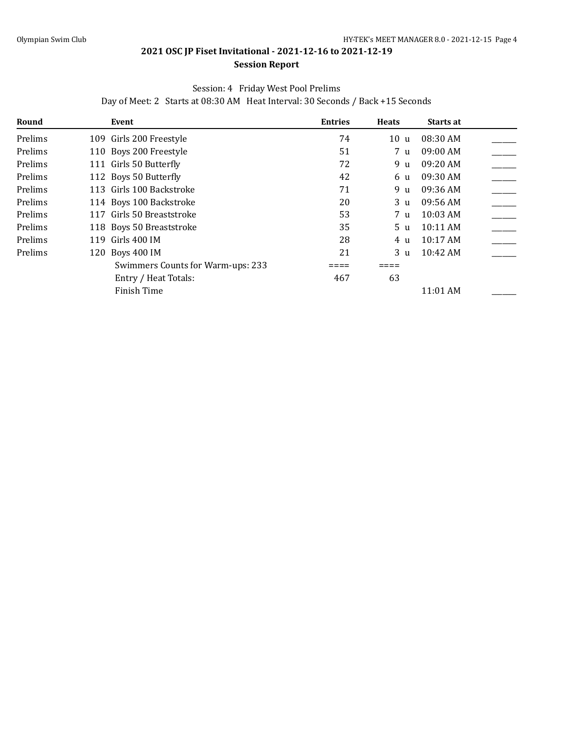#### **Session Report**

#### Session: 4 Friday West Pool Prelims

Day of Meet: 2 Starts at 08:30 AM Heat Interval: 30 Seconds / Back +15 Seconds

| Round   | Event                             | <b>Entries</b> | <b>Heats</b>   | Starts at |  |
|---------|-----------------------------------|----------------|----------------|-----------|--|
| Prelims | 109 Girls 200 Freestyle           | 74             | 10u            | 08:30 AM  |  |
| Prelims | 110 Boys 200 Freestyle            | 51             | 7 u            | 09:00 AM  |  |
| Prelims | 111 Girls 50 Butterfly            | 72             | 9 u            | 09:20 AM  |  |
| Prelims | 112 Boys 50 Butterfly             | 42             | 6 u            | 09:30 AM  |  |
| Prelims | 113 Girls 100 Backstroke          | 71             | 9 u            | 09:36 AM  |  |
| Prelims | 114 Boys 100 Backstroke           | 20             | 3 <sub>u</sub> | 09:56 AM  |  |
| Prelims | 117 Girls 50 Breaststroke         | 53             | 7 u            | 10:03 AM  |  |
| Prelims | 118 Boys 50 Breaststroke          | 35             | 5 <sub>u</sub> | 10:11 AM  |  |
| Prelims | 119 Girls 400 IM                  | 28             | 4 u            | 10:17 AM  |  |
| Prelims | 120 Boys 400 IM                   | 21             | 3 <sub>u</sub> | 10:42 AM  |  |
|         | Swimmers Counts for Warm-ups: 233 |                |                |           |  |
|         | Entry / Heat Totals:              | 467            | 63             |           |  |
|         | Finish Time                       |                |                | 11:01 AM  |  |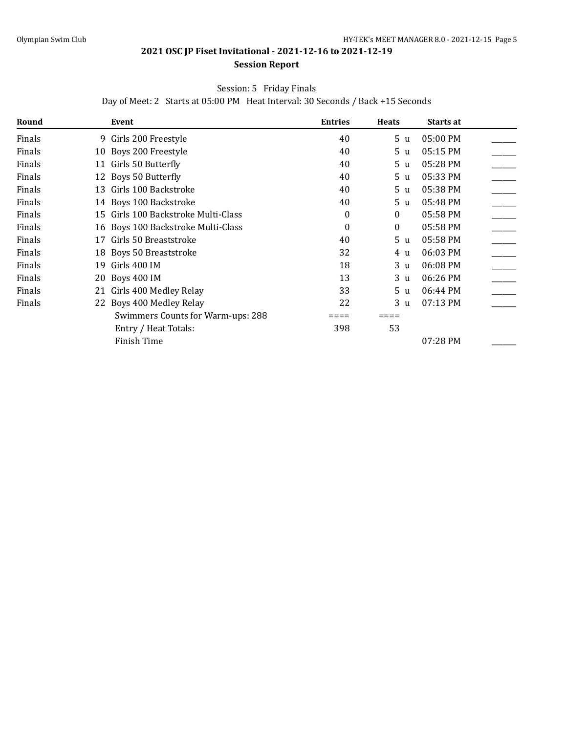#### **Session Report**

#### Session: 5 Friday Finals

Day of Meet: 2 Starts at 05:00 PM Heat Interval: 30 Seconds / Back +15 Seconds

| Round  |    | Event                               | <b>Entries</b>   | <b>Heats</b>   | Starts at |  |
|--------|----|-------------------------------------|------------------|----------------|-----------|--|
| Finals |    | 9 Girls 200 Freestyle               | 40               | 5 <sub>u</sub> | 05:00 PM  |  |
| Finals |    | 10 Boys 200 Freestyle               | 40               | 5 <sub>u</sub> | 05:15 PM  |  |
| Finals |    | 11 Girls 50 Butterfly               | 40               | 5 u            | 05:28 PM  |  |
| Finals |    | 12 Boys 50 Butterfly                | 40               | 5 u            | 05:33 PM  |  |
| Finals |    | 13 Girls 100 Backstroke             | 40               | 5 u            | 05:38 PM  |  |
| Finals |    | 14 Boys 100 Backstroke              | 40               | 5 u            | 05:48 PM  |  |
| Finals |    | 15 Girls 100 Backstroke Multi-Class | 0                | $\overline{0}$ | 05:58 PM  |  |
| Finals |    | 16 Boys 100 Backstroke Multi-Class  | $\boldsymbol{0}$ | $\mathbf{0}$   | 05:58 PM  |  |
| Finals |    | 17 Girls 50 Breaststroke            | 40               | 5 <sub>u</sub> | 05:58 PM  |  |
| Finals |    | 18 Boys 50 Breaststroke             | 32               | 4 u            | 06:03 PM  |  |
| Finals | 19 | Girls 400 IM                        | 18               | 3 u            | 06:08 PM  |  |
| Finals | 20 | Boys 400 IM                         | 13               | 3 u            | 06:26 PM  |  |
| Finals |    | 21 Girls 400 Medley Relay           | 33               | 5 u            | 06:44 PM  |  |
| Finals |    | 22 Boys 400 Medley Relay            | 22               | 3 <sub>u</sub> | 07:13 PM  |  |
|        |    | Swimmers Counts for Warm-ups: 288   |                  |                |           |  |
|        |    | Entry / Heat Totals:                | 398              | 53             |           |  |
|        |    | Finish Time                         |                  |                | 07:28 PM  |  |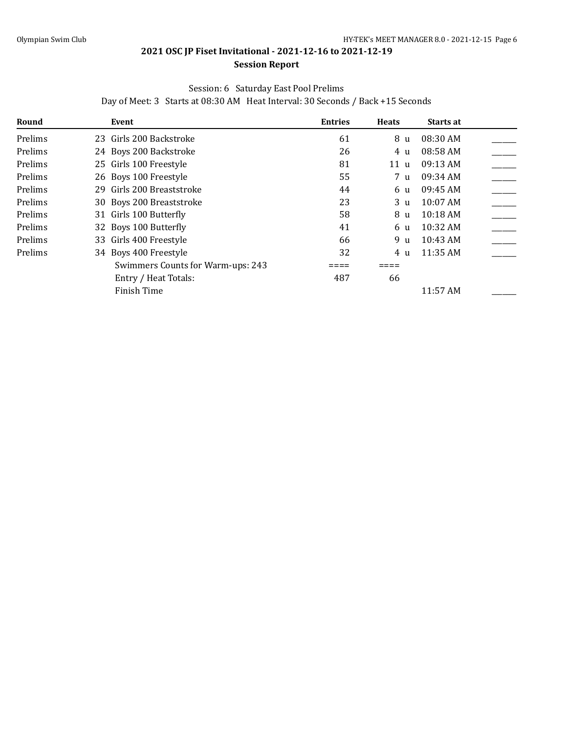#### **Session Report**

#### Session: 6 Saturday East Pool Prelims

Day of Meet: 3 Starts at 08:30 AM Heat Interval: 30 Seconds / Back +15 Seconds

| Round   | Event                             | <b>Entries</b> | <b>Heats</b> | Starts at          |  |
|---------|-----------------------------------|----------------|--------------|--------------------|--|
| Prelims | 23 Girls 200 Backstroke           | 61             | 8 u          | 08:30 AM           |  |
| Prelims | 24 Boys 200 Backstroke            | 26             | 4 u          | 08:58 AM           |  |
| Prelims | 25 Girls 100 Freestyle            | 81             | 11 u         | 09:13 AM           |  |
| Prelims | 26 Boys 100 Freestyle             | 55             | 7 u          | 09:34 AM           |  |
| Prelims | 29 Girls 200 Breaststroke         | 44             | 6 u          | 09:45 AM           |  |
| Prelims | 30 Boys 200 Breaststroke          | 23             | 3 u          | $10:07$ AM         |  |
| Prelims | 31 Girls 100 Butterfly            | 58             | 8 u          | 10:18 AM           |  |
| Prelims | 32 Boys 100 Butterfly             | 41             | 6 u          | $10:32 \text{ AM}$ |  |
| Prelims | 33 Girls 400 Freestyle            | 66             | 9 u          | 10:43 AM           |  |
| Prelims | 34 Boys 400 Freestyle             | 32             | 4 u          | 11:35 AM           |  |
|         | Swimmers Counts for Warm-ups: 243 |                |              |                    |  |
|         | Entry / Heat Totals:              | 487            | 66           |                    |  |
|         | Finish Time                       |                |              | 11:57 AM           |  |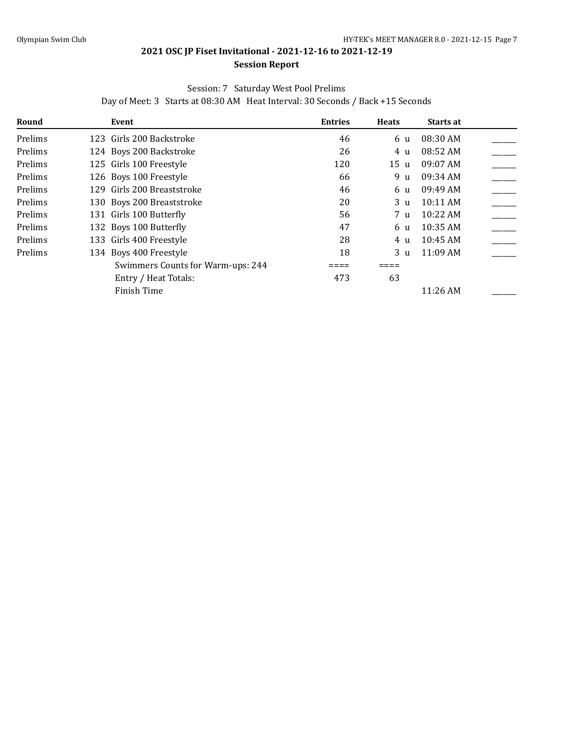#### **Session Report**

#### Session: 7 Saturday West Pool Prelims

Day of Meet: 3 Starts at 08:30 AM Heat Interval: 30 Seconds / Back +15 Seconds

| Round   | Event                             | <b>Entries</b> | <b>Heats</b>   | <b>Starts at</b> |  |
|---------|-----------------------------------|----------------|----------------|------------------|--|
| Prelims | 123 Girls 200 Backstroke          | 46             | 6 u            | 08:30 AM         |  |
| Prelims | 124 Boys 200 Backstroke           | 26             | 4 u            | 08:52 AM         |  |
| Prelims | 125 Girls 100 Freestyle           | 120            | 15 u           | $09:07$ AM       |  |
| Prelims | 126 Boys 100 Freestyle            | 66             | 9 u            | 09:34 AM         |  |
| Prelims | 129 Girls 200 Breaststroke        | 46             | 6 u            | 09:49 AM         |  |
| Prelims | 130 Boys 200 Breaststroke         | 20             | 3 <sub>u</sub> | $10:11$ AM       |  |
| Prelims | 131 Girls 100 Butterfly           | 56             | 7 <sub>u</sub> | 10:22 AM         |  |
| Prelims | 132 Boys 100 Butterfly            | 47             | 6 u            | 10:35 AM         |  |
| Prelims | 133 Girls 400 Freestyle           | 28             | 4 u            | $10:45$ AM       |  |
| Prelims | 134 Boys 400 Freestyle            | 18             | 3 u            | $11:09$ AM       |  |
|         | Swimmers Counts for Warm-ups: 244 |                |                |                  |  |
|         | Entry / Heat Totals:              | 473            | 63             |                  |  |
|         | Finish Time                       |                |                | 11:26 AM         |  |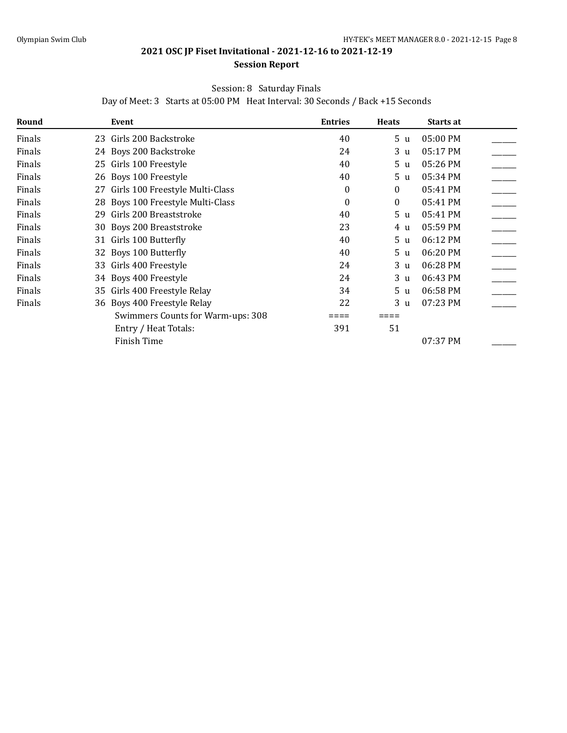#### **Session Report**

#### Session: 8 Saturday Finals

Day of Meet: 3 Starts at 05:00 PM Heat Interval: 30 Seconds / Back +15 Seconds

| Round  | Event                              | <b>Entries</b>   | <b>Heats</b>   | Starts at |  |
|--------|------------------------------------|------------------|----------------|-----------|--|
| Finals | 23 Girls 200 Backstroke            | 40               | 5 u            | 05:00 PM  |  |
| Finals | 24 Boys 200 Backstroke             | 24               | 3 u            | 05:17 PM  |  |
| Finals | 25 Girls 100 Freestyle             | 40               | 5 u            | 05:26 PM  |  |
| Finals | 26 Boys 100 Freestyle              | 40               | 5 u            | 05:34 PM  |  |
| Finals | 27 Girls 100 Freestyle Multi-Class | 0                | $\theta$       | 05:41 PM  |  |
| Finals | 28 Boys 100 Freestyle Multi-Class  | $\boldsymbol{0}$ | $\theta$       | 05:41 PM  |  |
| Finals | 29 Girls 200 Breaststroke          | 40               | 5 <sub>u</sub> | 05:41 PM  |  |
| Finals | 30 Boys 200 Breaststroke           | 23               | 4 u            | 05:59 PM  |  |
| Finals | 31 Girls 100 Butterfly             | 40               | 5 u            | 06:12 PM  |  |
| Finals | 32 Boys 100 Butterfly              | 40               | 5 u            | 06:20 PM  |  |
| Finals | 33 Girls 400 Freestyle             | 24               | 3 u            | 06:28 PM  |  |
| Finals | 34 Boys 400 Freestyle              | 24               | 3 u            | 06:43 PM  |  |
| Finals | 35 Girls 400 Freestyle Relay       | 34               | 5 u            | 06:58 PM  |  |
| Finals | 36 Boys 400 Freestyle Relay        | 22               | 3 <sub>u</sub> | 07:23 PM  |  |
|        | Swimmers Counts for Warm-ups: 308  |                  |                |           |  |
|        | Entry / Heat Totals:               | 391              | 51             |           |  |
|        | Finish Time                        |                  |                | 07:37 PM  |  |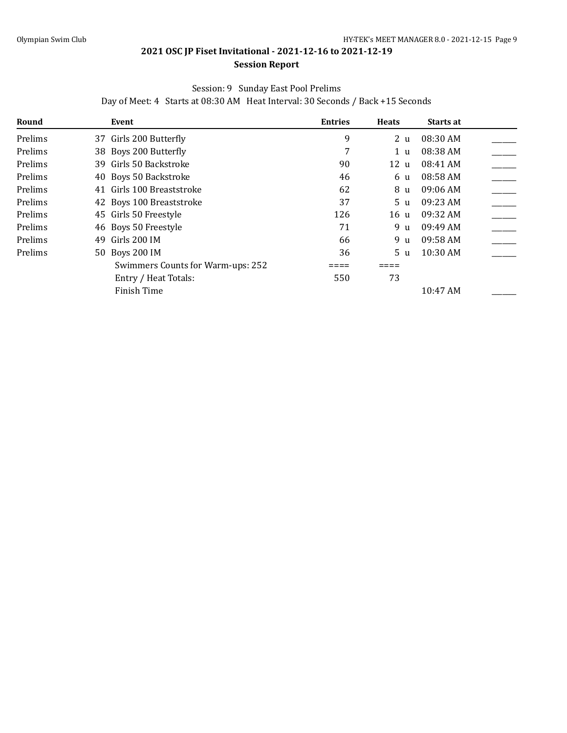#### **Session Report**

### Session: 9 Sunday East Pool Prelims

Day of Meet: 4 Starts at 08:30 AM Heat Interval: 30 Seconds / Back +15 Seconds

| Round   | Event                             | <b>Entries</b> | <b>Heats</b> | Starts at  |  |
|---------|-----------------------------------|----------------|--------------|------------|--|
| Prelims | 37 Girls 200 Butterfly            | 9              | 2 u          | 08:30 AM   |  |
| Prelims | 38 Boys 200 Butterfly             | 7              | 1 u          | 08:38 AM   |  |
| Prelims | 39 Girls 50 Backstroke            | 90             | 12 u         | 08:41 AM   |  |
| Prelims | 40 Boys 50 Backstroke             | 46             | 6 u          | 08:58 AM   |  |
| Prelims | 41 Girls 100 Breaststroke         | 62             | 8 u          | $09:06$ AM |  |
| Prelims | 42 Boys 100 Breaststroke          | 37             | 5 u          | 09:23 AM   |  |
| Prelims | 45 Girls 50 Freestyle             | 126            | 16 u         | 09:32 AM   |  |
| Prelims | 46 Boys 50 Freestyle              | 71             | 9 u          | 09:49 AM   |  |
| Prelims | Girls 200 IM<br>49                | 66             | 9 u          | 09:58 AM   |  |
| Prelims | 50 Boys 200 IM                    | 36             | 5 u          | 10:30 AM   |  |
|         | Swimmers Counts for Warm-ups: 252 |                |              |            |  |
|         | Entry / Heat Totals:              | 550            | 73           |            |  |
|         | Finish Time                       |                |              | 10:47 AM   |  |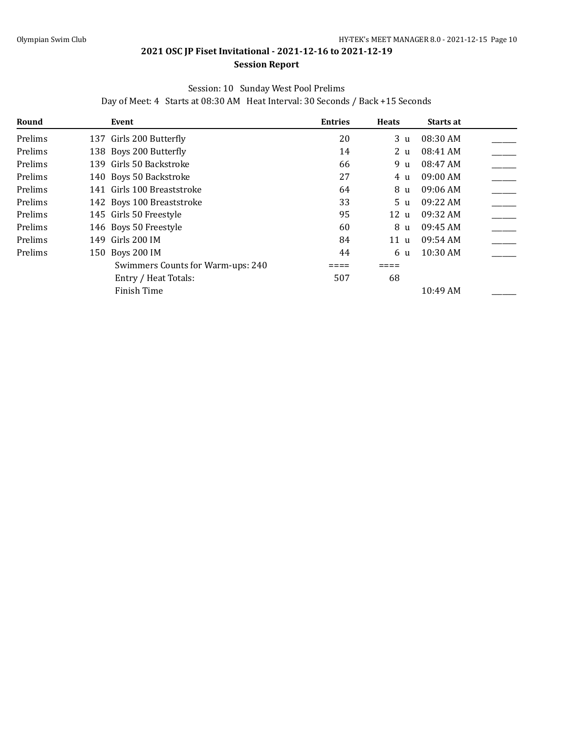#### **Session Report**

#### Session: 10 Sunday West Pool Prelims

Day of Meet: 4 Starts at 08:30 AM Heat Interval: 30 Seconds / Back +15 Seconds

| Round   | Event                             | <b>Entries</b> | <b>Heats</b>   | <b>Starts at</b> |  |
|---------|-----------------------------------|----------------|----------------|------------------|--|
| Prelims | 137 Girls 200 Butterfly           | 20             | 3 u            | 08:30 AM         |  |
| Prelims | 138 Boys 200 Butterfly            | 14             | 2 <sub>u</sub> | 08:41 AM         |  |
| Prelims | 139 Girls 50 Backstroke           | 66             | 9 u            | 08:47 AM         |  |
| Prelims | 140 Boys 50 Backstroke            | 27             | 4 u            | $09:00$ AM       |  |
| Prelims | 141 Girls 100 Breaststroke        | 64             | 8 u            | 09:06 AM         |  |
| Prelims | 142 Boys 100 Breaststroke         | 33             | 5 <sub>u</sub> | 09:22 AM         |  |
| Prelims | 145 Girls 50 Freestyle            | 95             | 12u            | 09:32 AM         |  |
| Prelims | 146 Boys 50 Freestyle             | 60             | 8 u            | 09:45 AM         |  |
| Prelims | 149 Girls 200 IM                  | 84             | 11 u           | 09:54 AM         |  |
| Prelims | 150 Boys 200 IM                   | 44             | 6 <sub>u</sub> | 10:30 AM         |  |
|         | Swimmers Counts for Warm-ups: 240 |                |                |                  |  |
|         | Entry / Heat Totals:              | 507            | 68             |                  |  |
|         | Finish Time                       |                |                | 10:49 AM         |  |